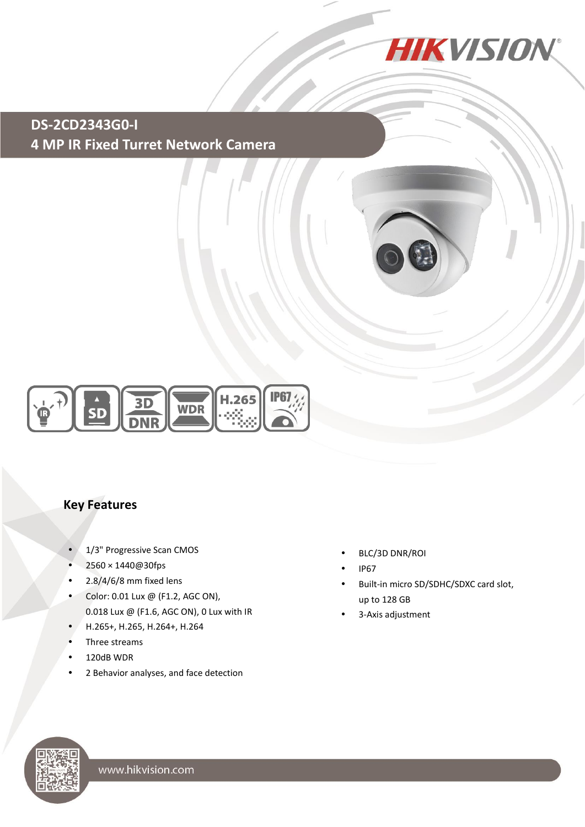

**DS-2CD2343G0-I 4 MP IR Fixed Turret Network Camera**





## **Key Features**

- 1/3" Progressive Scan CMOS
- 2560 × 1440@30fps
- $\cdot$  2.8/4/6/8 mm fixed lens
- $\bullet$  Color: 0.01 Lux @ (F1.2, AGC ON), 0.018 Lux @ (F1.6, AGC ON), 0 Lux with IR
- H.265+, H.265, H.264+, H.264
- Three streams
- 120dB WDR
- 2 Behavior analyses, and face detection
- BLC/3D DNR/ROI
- IP67
- Built-in micro SD/SDHC/SDXC card slot, up to 128 GB
- 3-Axis adjustment

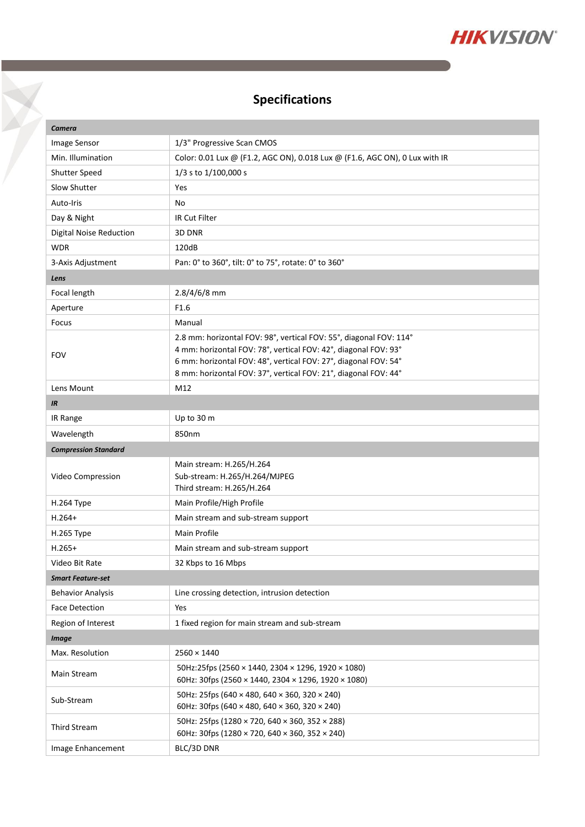

## **Specifications**

Y

| Camera                         |                                                                                                                                    |  |
|--------------------------------|------------------------------------------------------------------------------------------------------------------------------------|--|
| <b>Image Sensor</b>            | 1/3" Progressive Scan CMOS                                                                                                         |  |
| Min. Illumination              | Color: 0.01 Lux @ (F1.2, AGC ON), 0.018 Lux @ (F1.6, AGC ON), 0 Lux with IR                                                        |  |
| Shutter Speed                  | 1/3 s to 1/100,000 s                                                                                                               |  |
| Slow Shutter                   | Yes                                                                                                                                |  |
| Auto-Iris                      | No                                                                                                                                 |  |
| Day & Night                    | IR Cut Filter                                                                                                                      |  |
| <b>Digital Noise Reduction</b> | 3D DNR                                                                                                                             |  |
| <b>WDR</b>                     | 120dB                                                                                                                              |  |
| 3-Axis Adjustment              | Pan: 0° to 360°, tilt: 0° to 75°, rotate: 0° to 360°                                                                               |  |
| Lens                           |                                                                                                                                    |  |
| Focal length                   | 2.8/4/6/8 mm                                                                                                                       |  |
| Aperture                       | F1.6                                                                                                                               |  |
| Focus                          | Manual                                                                                                                             |  |
|                                | 2.8 mm: horizontal FOV: 98°, vertical FOV: 55°, diagonal FOV: 114°                                                                 |  |
| <b>FOV</b>                     | 4 mm: horizontal FOV: 78°, vertical FOV: 42°, diagonal FOV: 93°                                                                    |  |
|                                | 6 mm: horizontal FOV: 48°, vertical FOV: 27°, diagonal FOV: 54°<br>8 mm: horizontal FOV: 37°, vertical FOV: 21°, diagonal FOV: 44° |  |
| Lens Mount                     | M12                                                                                                                                |  |
| IR                             |                                                                                                                                    |  |
| IR Range                       | Up to 30 m                                                                                                                         |  |
| Wavelength                     | 850nm                                                                                                                              |  |
|                                |                                                                                                                                    |  |
|                                |                                                                                                                                    |  |
| <b>Compression Standard</b>    |                                                                                                                                    |  |
| Video Compression              | Main stream: H.265/H.264<br>Sub-stream: H.265/H.264/MJPEG                                                                          |  |
|                                | Third stream: H.265/H.264                                                                                                          |  |
| <b>H.264 Type</b>              | Main Profile/High Profile                                                                                                          |  |
| $H.264+$                       | Main stream and sub-stream support                                                                                                 |  |
| H.265 Type                     | Main Profile                                                                                                                       |  |
| $H.265+$                       | Main stream and sub-stream support                                                                                                 |  |
| Video Bit Rate                 | 32 Kbps to 16 Mbps                                                                                                                 |  |
| <b>Smart Feature-set</b>       |                                                                                                                                    |  |
| <b>Behavior Analysis</b>       | Line crossing detection, intrusion detection                                                                                       |  |
| <b>Face Detection</b>          | Yes                                                                                                                                |  |
| Region of Interest             | 1 fixed region for main stream and sub-stream                                                                                      |  |
| <b>Image</b>                   |                                                                                                                                    |  |
| Max. Resolution                | $2560 \times 1440$                                                                                                                 |  |
| Main Stream                    | 50Hz:25fps (2560 × 1440, 2304 × 1296, 1920 × 1080)<br>60Hz: 30fps (2560 × 1440, 2304 × 1296, 1920 × 1080)                          |  |
| Sub-Stream                     | 50Hz: 25fps (640 × 480, 640 × 360, 320 × 240)<br>60Hz: 30fps (640 × 480, 640 × 360, 320 × 240)                                     |  |
| <b>Third Stream</b>            | 50Hz: 25fps (1280 × 720, 640 × 360, 352 × 288)<br>60Hz: 30fps (1280 × 720, 640 × 360, 352 × 240)                                   |  |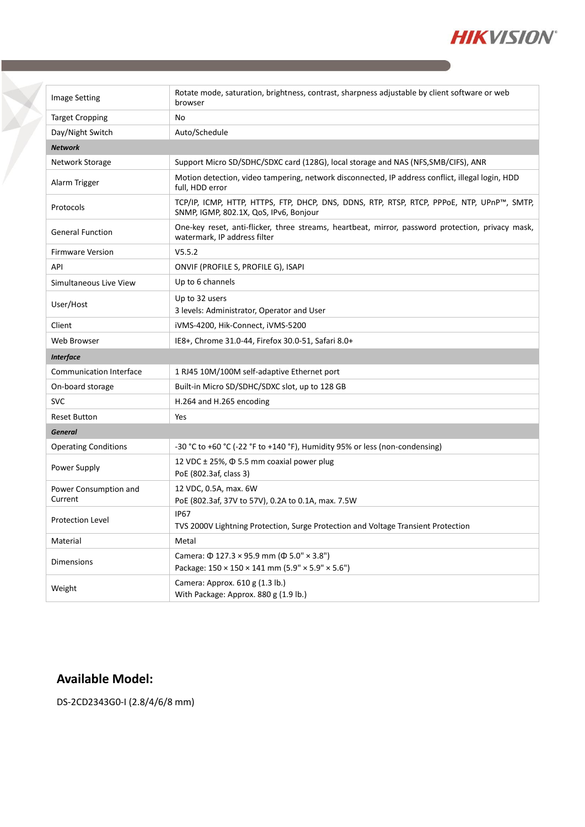

| <b>Image Setting</b>             | Rotate mode, saturation, brightness, contrast, sharpness adjustable by client software or web<br>browser                             |
|----------------------------------|--------------------------------------------------------------------------------------------------------------------------------------|
| <b>Target Cropping</b>           | No                                                                                                                                   |
| Day/Night Switch                 | Auto/Schedule                                                                                                                        |
| <b>Network</b>                   |                                                                                                                                      |
| Network Storage                  | Support Micro SD/SDHC/SDXC card (128G), local storage and NAS (NFS, SMB/CIFS), ANR                                                   |
| Alarm Trigger                    | Motion detection, video tampering, network disconnected, IP address conflict, illegal login, HDD<br>full, HDD error                  |
| Protocols                        | TCP/IP, ICMP, HTTP, HTTPS, FTP, DHCP, DNS, DDNS, RTP, RTSP, RTCP, PPPoE, NTP, UPnP™, SMTP,<br>SNMP, IGMP, 802.1X, QoS, IPv6, Bonjour |
| <b>General Function</b>          | One-key reset, anti-flicker, three streams, heartbeat, mirror, password protection, privacy mask,<br>watermark, IP address filter    |
| <b>Firmware Version</b>          | V5.5.2                                                                                                                               |
| API                              | ONVIF (PROFILE S, PROFILE G), ISAPI                                                                                                  |
| Simultaneous Live View           | Up to 6 channels                                                                                                                     |
| User/Host                        | Up to 32 users<br>3 levels: Administrator, Operator and User                                                                         |
| Client                           | iVMS-4200, Hik-Connect, iVMS-5200                                                                                                    |
| Web Browser                      | IE8+, Chrome 31.0-44, Firefox 30.0-51, Safari 8.0+                                                                                   |
| <b>Interface</b>                 |                                                                                                                                      |
| <b>Communication Interface</b>   | 1 RJ45 10M/100M self-adaptive Ethernet port                                                                                          |
| On-board storage                 | Built-in Micro SD/SDHC/SDXC slot, up to 128 GB                                                                                       |
| <b>SVC</b>                       | H.264 and H.265 encoding                                                                                                             |
| <b>Reset Button</b>              | Yes                                                                                                                                  |
| <b>General</b>                   |                                                                                                                                      |
| <b>Operating Conditions</b>      | -30 °C to +60 °C (-22 °F to +140 °F), Humidity 95% or less (non-condensing)                                                          |
| Power Supply                     | 12 VDC $\pm$ 25%, $\Phi$ 5.5 mm coaxial power plug<br>PoE (802.3af, class 3)                                                         |
| Power Consumption and<br>Current | 12 VDC, 0.5A, max. 6W<br>PoE (802.3af, 37V to 57V), 0.2A to 0.1A, max. 7.5W                                                          |
| <b>Protection Level</b>          | IP <sub>67</sub><br>TVS 2000V Lightning Protection, Surge Protection and Voltage Transient Protection                                |
| Material                         | Metal                                                                                                                                |
| <b>Dimensions</b>                | Camera: Φ 127.3 × 95.9 mm (Φ 5.0" × 3.8")<br>Package: 150 × 150 × 141 mm (5.9" × 5.9" × 5.6")                                        |
| Weight                           | Camera: Approx. 610 g (1.3 lb.)<br>With Package: Approx. 880 g (1.9 lb.)                                                             |

## **Available Model:**

X

DS-2CD2343G0-I (2.8/4/6/8 mm)